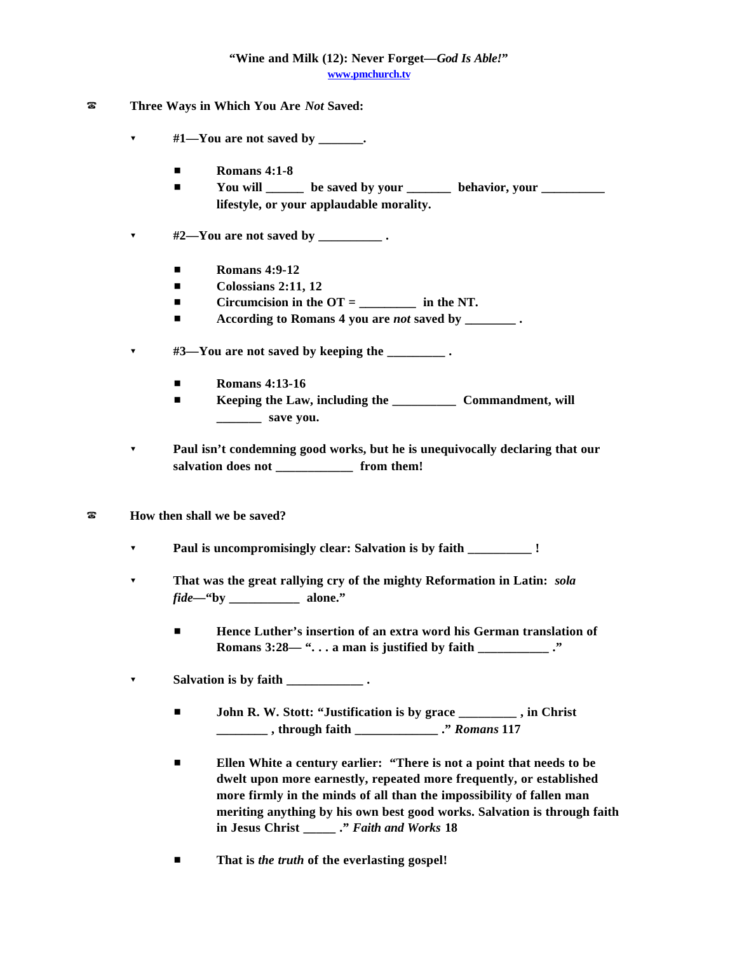## **"Wine and Milk (12): Never Forget—***God Is Able!***" www.pmchurch.tv**

- ? **Three Ways in Which You Are** *Not* **Saved:**
	- ? **#1—You are not saved by \_\_\_\_\_\_\_.**
		- **Romans 4:1-8**
		- **E** You will <u>can be saved by your set behavior</u>, your <u>containing</u> **lifestyle, or your applaudable morality.**
	- $\bullet$  #2—You are not saved by \_\_\_\_\_\_\_\_.
		- **Romans 4:9-12**
		- **Colossians 2:11, 12**
		- # **Circumcision in the OT = \_\_\_\_\_\_\_\_\_ in the NT.**
		- **According to Romans 4 you are** *not* **saved by ...**
	- ? **#3—You are not saved by keeping the \_\_\_\_\_\_\_\_\_ .**
		- $\blacksquare$  **Romans 4:13-16**
		- **Example 1 Keeping the Law, including the \_\_\_\_\_\_\_\_\_\_\_\_\_ Commandment, will \_\_\_\_\_\_\_ save you.**
	- ? **Paul isn't condemning good works, but he is unequivocally declaring that our** salvation does not from them!
- ? **How then shall we be saved?**
	- ? **Paul is uncompromisingly clear: Salvation is by faith \_\_\_\_\_\_\_\_\_\_ !**
	- ? **That was the great rallying cry of the mighty Reformation in Latin:** *sola fide*—"by alone."
		- $\blacksquare$  **Hence Luther's insertion of an extra word his German translation of Romans 3:28— ". . . a man is justified by faith \_\_\_\_\_\_\_\_\_\_\_ ."**
	- ? **Salvation is by faith \_\_\_\_\_\_\_\_\_\_\_\_ .**
		- $\blacksquare$  John R. W. Stott: "Justification is by grace \_\_\_\_\_\_\_, in Christ **\_\_\_\_\_\_\_\_ , through faith \_\_\_\_\_\_\_\_\_\_\_\_\_ ."** *Romans* **117**
		- **Ellen White a century earlier: "There is not a point that needs to be dwelt upon more earnestly, repeated more frequently, or established more firmly in the minds of all than the impossibility of fallen man meriting anything by his own best good works. Salvation is through faith in Jesus Christ \_\_\_\_\_ ."** *Faith and Works* **18**
		- **That is** *the truth* **of the everlasting gospel!**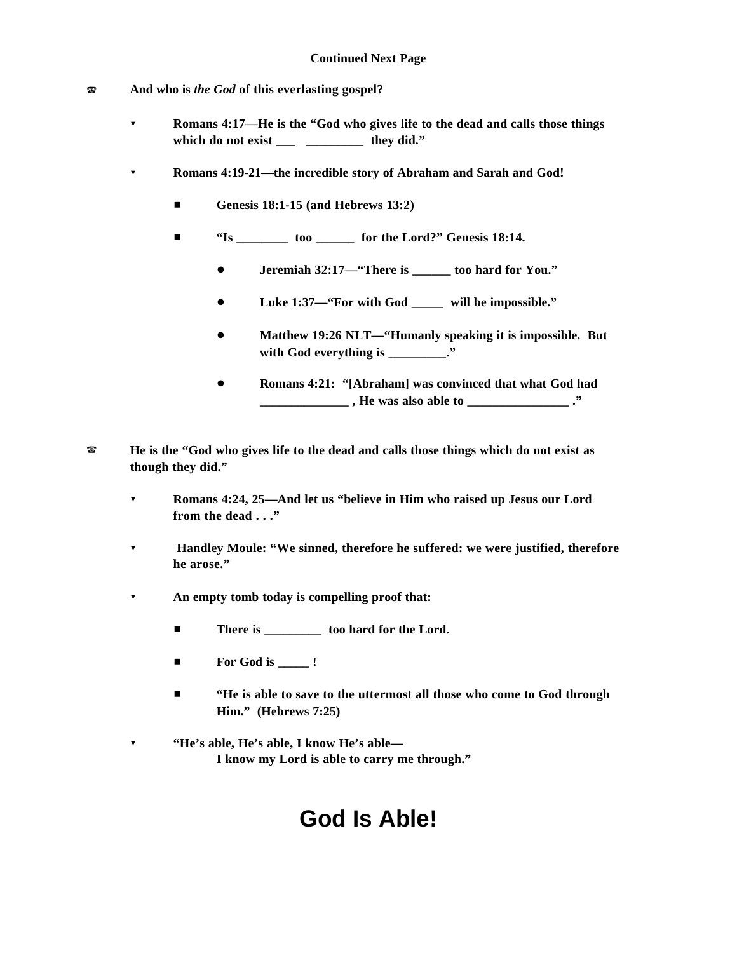- ? **And who is** *the God* **of this everlasting gospel?**
	- ? **Romans 4:17—He is the "God who gives life to the dead and calls those things which do not exist \_\_\_ \_\_\_\_\_\_\_\_\_ they did."**
	- ? **Romans 4:19-21—the incredible story of Abraham and Sarah and God!**
		- **Genesis 18:1-15 (and Hebrews 13:2)**
		- # **"Is \_\_\_\_\_\_\_\_ too \_\_\_\_\_\_ for the Lord?" Genesis 18:14.** 
			- ! **Jeremiah 32:17—"There is \_\_\_\_\_\_ too hard for You."**
			- ! **Luke 1:37—"For with God \_\_\_\_\_ will be impossible."**
			- ! **Matthew 19:26 NLT—"Humanly speaking it is impossible. But** with God everything is \_\_\_\_\_\_\_\_\_."
			- ! **Romans 4:21: "[Abraham] was convinced that what God had \_\_\_\_\_\_\_\_\_\_\_\_\_\_ , He was also able to \_\_\_\_\_\_\_\_\_\_\_\_\_\_\_\_ ."**
- ? **He is the "God who gives life to the dead and calls those things which do not exist as though they did."**
	- ? **Romans 4:24, 25—And let us "believe in Him who raised up Jesus our Lord from the dead . . ."**
	- ? **Handley Moule: "We sinned, therefore he suffered: we were justified, therefore he arose."**
	- ? **An empty tomb today is compelling proof that:**
		- There is <u>\_\_\_\_\_\_\_\_</u> too hard for the Lord.
		- **For God is \_\_\_\_\_ !**
		- $\blacksquare$  "He is able to save to the uttermost all those who come to God through **Him." (Hebrews 7:25)**
	- ? **"He's able, He's able, I know He's able— I know my Lord is able to carry me through."**

## **God Is Able!**